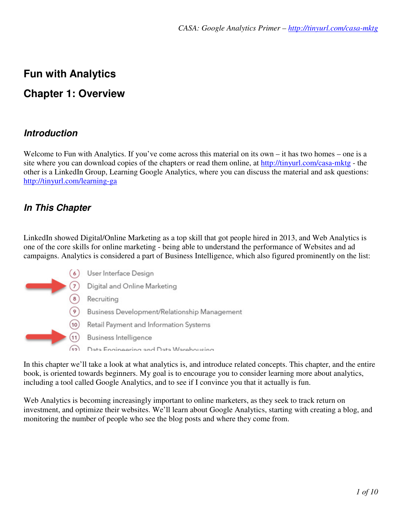# **Fun with Analytics**

# **Chapter 1: Overview**

### **Introduction**

Welcome to Fun with Analytics. If you've come across this material on its own – it has two homes – one is a site where you can download copies of the chapters or read them online, at http://tinyurl.com/casa-mktg - the other is a LinkedIn Group, Learning Google Analytics, where you can discuss the material and ask questions: http://tinyurl.com/learning-ga

## **In This Chapter**

LinkedIn showed Digital/Online Marketing as a top skill that got people hired in 2013, and Web Analytics is one of the core skills for online marketing - being able to understand the performance of Websites and ad campaigns. Analytics is considered a part of Business Intelligence, which also figured prominently on the list:



In this chapter we'll take a look at what analytics is, and introduce related concepts. This chapter, and the entire book, is oriented towards beginners. My goal is to encourage you to consider learning more about analytics, including a tool called Google Analytics, and to see if I convince you that it actually is fun.

Web Analytics is becoming increasingly important to online marketers, as they seek to track return on investment, and optimize their websites. We'll learn about Google Analytics, starting with creating a blog, and monitoring the number of people who see the blog posts and where they come from.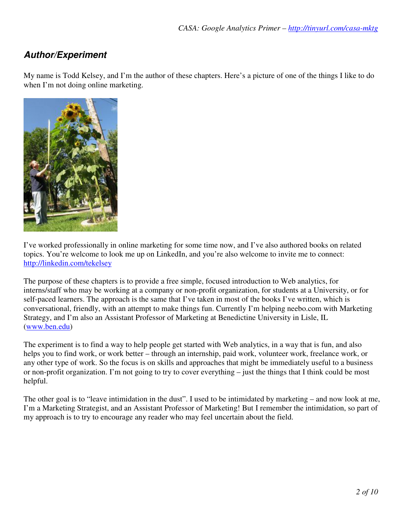# **Author/Experiment**

My name is Todd Kelsey, and I'm the author of these chapters. Here's a picture of one of the things I like to do when I'm not doing online marketing.



I've worked professionally in online marketing for some time now, and I've also authored books on related topics. You're welcome to look me up on LinkedIn, and you're also welcome to invite me to connect: http://linkedin.com/tekelsey

The purpose of these chapters is to provide a free simple, focused introduction to Web analytics, for interns/staff who may be working at a company or non-profit organization, for students at a University, or for self-paced learners. The approach is the same that I've taken in most of the books I've written, which is conversational, friendly, with an attempt to make things fun. Currently I'm helping neebo.com with Marketing Strategy, and I'm also an Assistant Professor of Marketing at Benedictine University in Lisle, IL (www.ben.edu)

The experiment is to find a way to help people get started with Web analytics, in a way that is fun, and also helps you to find work, or work better – through an internship, paid work, volunteer work, freelance work, or any other type of work. So the focus is on skills and approaches that might be immediately useful to a business or non-profit organization. I'm not going to try to cover everything – just the things that I think could be most helpful.

The other goal is to "leave intimidation in the dust". I used to be intimidated by marketing – and now look at me, I'm a Marketing Strategist, and an Assistant Professor of Marketing! But I remember the intimidation, so part of my approach is to try to encourage any reader who may feel uncertain about the field.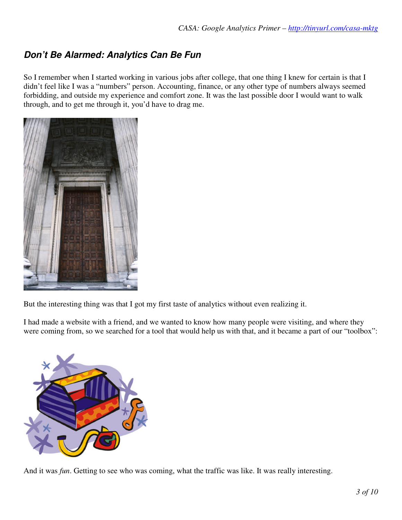# **Don't Be Alarmed: Analytics Can Be Fun**

So I remember when I started working in various jobs after college, that one thing I knew for certain is that I didn't feel like I was a "numbers" person. Accounting, finance, or any other type of numbers always seemed forbidding, and outside my experience and comfort zone. It was the last possible door I would want to walk through, and to get me through it, you'd have to drag me.



But the interesting thing was that I got my first taste of analytics without even realizing it.

I had made a website with a friend, and we wanted to know how many people were visiting, and where they were coming from, so we searched for a tool that would help us with that, and it became a part of our "toolbox":



And it was *fun*. Getting to see who was coming, what the traffic was like. It was really interesting.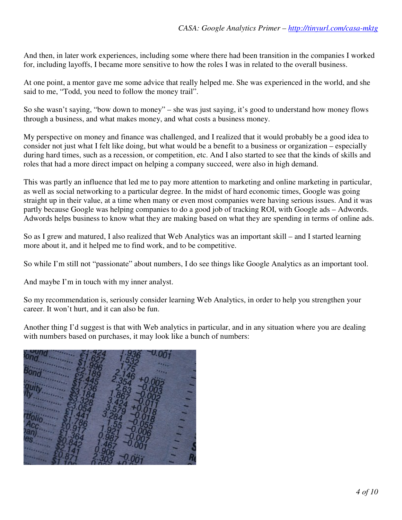And then, in later work experiences, including some where there had been transition in the companies I worked for, including layoffs, I became more sensitive to how the roles I was in related to the overall business.

At one point, a mentor gave me some advice that really helped me. She was experienced in the world, and she said to me, "Todd, you need to follow the money trail".

So she wasn't saying, "bow down to money" – she was just saying, it's good to understand how money flows through a business, and what makes money, and what costs a business money.

My perspective on money and finance was challenged, and I realized that it would probably be a good idea to consider not just what I felt like doing, but what would be a benefit to a business or organization – especially during hard times, such as a recession, or competition, etc. And I also started to see that the kinds of skills and roles that had a more direct impact on helping a company succeed, were also in high demand.

This was partly an influence that led me to pay more attention to marketing and online marketing in particular, as well as social networking to a particular degree. In the midst of hard economic times, Google was going straight up in their value, at a time when many or even most companies were having serious issues. And it was partly because Google was helping companies to do a good job of tracking ROI, with Google ads – Adwords. Adwords helps business to know what they are making based on what they are spending in terms of online ads.

So as I grew and matured, I also realized that Web Analytics was an important skill – and I started learning more about it, and it helped me to find work, and to be competitive.

So while I'm still not "passionate" about numbers, I do see things like Google Analytics as an important tool.

And maybe I'm in touch with my inner analyst.

So my recommendation is, seriously consider learning Web Analytics, in order to help you strengthen your career. It won't hurt, and it can also be fun.

Another thing I'd suggest is that with Web analytics in particular, and in any situation where you are dealing with numbers based on purchases, it may look like a bunch of numbers:

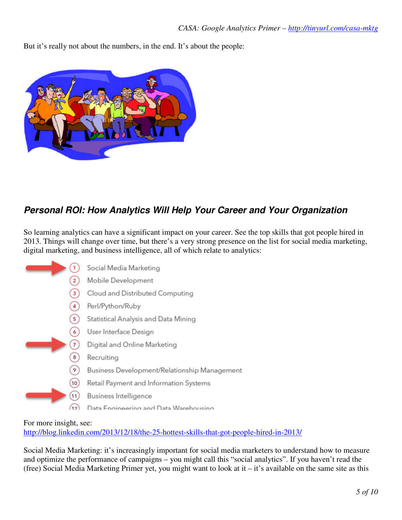But it's really not about the numbers, in the end. It's about the people:



# **Personal ROI: How Analytics Will Help Your Career and Your Organization**

So learning analytics can have a significant impact on your career. See the top skills that got people hired in 2013. Things will change over time, but there's a very strong presence on the list for social media marketing, digital marketing, and business intelligence, all of which relate to analytics:



For more insight, see: http://blog.linkedin.com/2013/12/18/the-25-hottest-skills-that-got-people-hired-in-2013/

Social Media Marketing: it's increasingly important for social media marketers to understand how to measure and optimize the performance of campaigns – you might call this "social analytics". If you haven't read the (free) Social Media Marketing Primer yet, you might want to look at it – it's available on the same site as this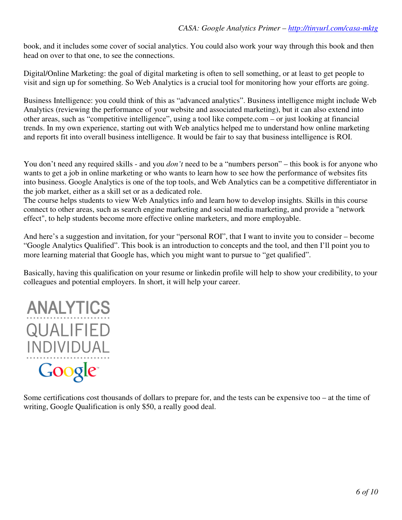book, and it includes some cover of social analytics. You could also work your way through this book and then head on over to that one, to see the connections.

Digital/Online Marketing: the goal of digital marketing is often to sell something, or at least to get people to visit and sign up for something. So Web Analytics is a crucial tool for monitoring how your efforts are going.

Business Intelligence: you could think of this as "advanced analytics". Business intelligence might include Web Analytics (reviewing the performance of your website and associated marketing), but it can also extend into other areas, such as "competitive intelligence", using a tool like compete.com – or just looking at financial trends. In my own experience, starting out with Web analytics helped me to understand how online marketing and reports fit into overall business intelligence. It would be fair to say that business intelligence is ROI.

You don't need any required skills - and you *don't* need to be a "numbers person" – this book is for anyone who wants to get a job in online marketing or who wants to learn how to see how the performance of websites fits into business. Google Analytics is one of the top tools, and Web Analytics can be a competitive differentiator in the job market, either as a skill set or as a dedicated role.

The course helps students to view Web Analytics info and learn how to develop insights. Skills in this course connect to other areas, such as search engine marketing and social media marketing, and provide a "network effect", to help students become more effective online marketers, and more employable.

And here's a suggestion and invitation, for your "personal ROI", that I want to invite you to consider – become "Google Analytics Qualified". This book is an introduction to concepts and the tool, and then I'll point you to more learning material that Google has, which you might want to pursue to "get qualified".

Basically, having this qualification on your resume or linkedin profile will help to show your credibility, to your colleagues and potential employers. In short, it will help your career.



Some certifications cost thousands of dollars to prepare for, and the tests can be expensive too – at the time of writing, Google Qualification is only \$50, a really good deal.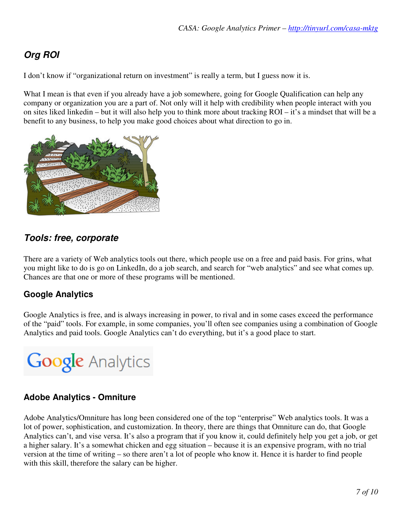# **Org ROI**

I don't know if "organizational return on investment" is really a term, but I guess now it is.

What I mean is that even if you already have a job somewhere, going for Google Qualification can help any company or organization you are a part of. Not only will it help with credibility when people interact with you on sites liked linkedin – but it will also help you to think more about tracking ROI – it's a mindset that will be a benefit to any business, to help you make good choices about what direction to go in.



## **Tools: free, corporate**

There are a variety of Web analytics tools out there, which people use on a free and paid basis. For grins, what you might like to do is go on LinkedIn, do a job search, and search for "web analytics" and see what comes up. Chances are that one or more of these programs will be mentioned.

#### **Google Analytics**

Google Analytics is free, and is always increasing in power, to rival and in some cases exceed the performance of the "paid" tools. For example, in some companies, you'll often see companies using a combination of Google Analytics and paid tools. Google Analytics can't do everything, but it's a good place to start.



#### **Adobe Analytics - Omniture**

Adobe Analytics/Omniture has long been considered one of the top "enterprise" Web analytics tools. It was a lot of power, sophistication, and customization. In theory, there are things that Omniture can do, that Google Analytics can't, and vise versa. It's also a program that if you know it, could definitely help you get a job, or get a higher salary. It's a somewhat chicken and egg situation – because it is an expensive program, with no trial version at the time of writing – so there aren't a lot of people who know it. Hence it is harder to find people with this skill, therefore the salary can be higher.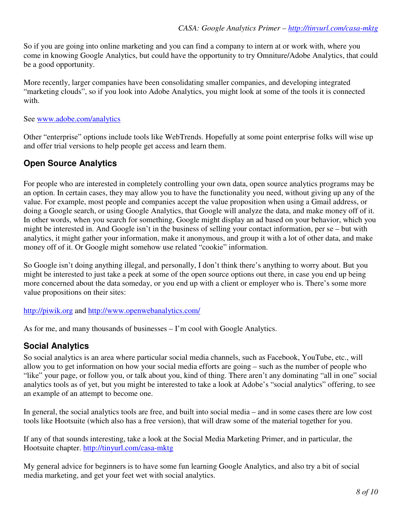So if you are going into online marketing and you can find a company to intern at or work with, where you come in knowing Google Analytics, but could have the opportunity to try Omniture/Adobe Analytics, that could be a good opportunity.

More recently, larger companies have been consolidating smaller companies, and developing integrated "marketing clouds", so if you look into Adobe Analytics, you might look at some of the tools it is connected with.

#### See www.adobe.com/analytics

Other "enterprise" options include tools like WebTrends. Hopefully at some point enterprise folks will wise up and offer trial versions to help people get access and learn them.

#### **Open Source Analytics**

For people who are interested in completely controlling your own data, open source analytics programs may be an option. In certain cases, they may allow you to have the functionality you need, without giving up any of the value. For example, most people and companies accept the value proposition when using a Gmail address, or doing a Google search, or using Google Analytics, that Google will analyze the data, and make money off of it. In other words, when you search for something, Google might display an ad based on your behavior, which you might be interested in. And Google isn't in the business of selling your contact information, per se – but with analytics, it might gather your information, make it anonymous, and group it with a lot of other data, and make money off of it. Or Google might somehow use related "cookie" information.

So Google isn't doing anything illegal, and personally, I don't think there's anything to worry about. But you might be interested to just take a peek at some of the open source options out there, in case you end up being more concerned about the data someday, or you end up with a client or employer who is. There's some more value propositions on their sites:

http://piwik.org and http://www.openwebanalytics.com/

As for me, and many thousands of businesses – I'm cool with Google Analytics.

#### **Social Analytics**

So social analytics is an area where particular social media channels, such as Facebook, YouTube, etc., will allow you to get information on how your social media efforts are going – such as the number of people who "like" your page, or follow you, or talk about you, kind of thing. There aren't any dominating "all in one" social analytics tools as of yet, but you might be interested to take a look at Adobe's "social analytics" offering, to see an example of an attempt to become one.

In general, the social analytics tools are free, and built into social media – and in some cases there are low cost tools like Hootsuite (which also has a free version), that will draw some of the material together for you.

If any of that sounds interesting, take a look at the Social Media Marketing Primer, and in particular, the Hootsuite chapter. http://tinyurl.com/casa-mktg

My general advice for beginners is to have some fun learning Google Analytics, and also try a bit of social media marketing, and get your feet wet with social analytics.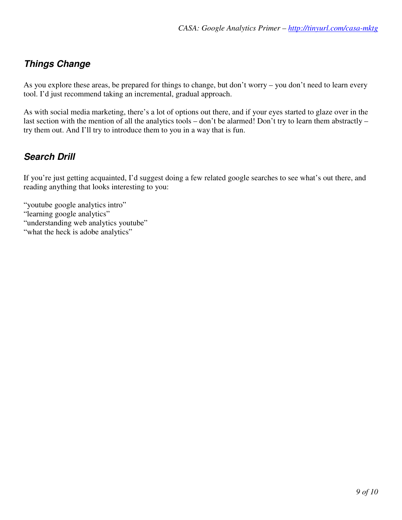# **Things Change**

As you explore these areas, be prepared for things to change, but don't worry – you don't need to learn every tool. I'd just recommend taking an incremental, gradual approach.

As with social media marketing, there's a lot of options out there, and if your eyes started to glaze over in the last section with the mention of all the analytics tools – don't be alarmed! Don't try to learn them abstractly – try them out. And I'll try to introduce them to you in a way that is fun.

# **Search Drill**

If you're just getting acquainted, I'd suggest doing a few related google searches to see what's out there, and reading anything that looks interesting to you:

- "youtube google analytics intro" "learning google analytics" "understanding web analytics youtube"
- "what the heck is adobe analytics"